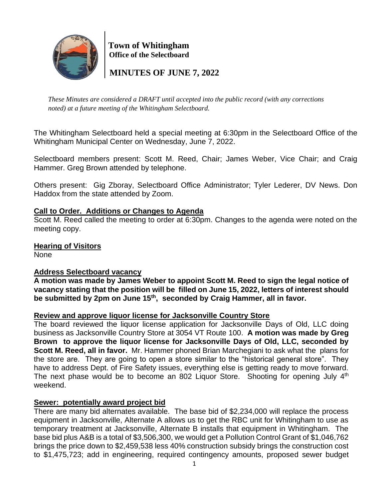

 **Town of Whitingham Office of the Selectboard**

 **MINUTES OF JUNE 7, 2022**

*These Minutes are considered a DRAFT until accepted into the public record (with any corrections noted) at a future meeting of the Whitingham Selectboard.*

The Whitingham Selectboard held a special meeting at 6:30pm in the Selectboard Office of the Whitingham Municipal Center on Wednesday, June 7, 2022.

Selectboard members present: Scott M. Reed, Chair; James Weber, Vice Chair; and Craig Hammer. Greg Brown attended by telephone.

Others present: Gig Zboray, Selectboard Office Administrator; Tyler Lederer, DV News. Don Haddox from the state attended by Zoom.

## **Call to Order. Additions or Changes to Agenda**

Scott M. Reed called the meeting to order at 6:30pm. Changes to the agenda were noted on the meeting copy.

**Hearing of Visitors** None

### **Address Selectboard vacancy**

**A motion was made by James Weber to appoint Scott M. Reed to sign the legal notice of vacancy stating that the position will be filled on June 15, 2022, letters of interest should be submitted by 2pm on June 15th , seconded by Craig Hammer, all in favor.**

### **Review and approve liquor license for Jacksonville Country Store**

The board reviewed the liquor license application for Jacksonville Days of Old, LLC doing business as Jacksonville Country Store at 3054 VT Route 100. **A motion was made by Greg Brown to approve the liquor license for Jacksonville Days of Old, LLC, seconded by Scott M. Reed, all in favor.** Mr. Hammer phoned Brian Marchegiani to ask what the plans for the store are. They are going to open a store similar to the "historical general store". They have to address Dept. of Fire Safety issues, everything else is getting ready to move forward. The next phase would be to become an 802 Liquor Store. Shooting for opening July 4<sup>th</sup> weekend.

### **Sewer: potentially award project bid**

There are many bid alternates available. The base bid of \$2,234,000 will replace the process equipment in Jacksonville, Alternate A allows us to get the RBC unit for Whitingham to use as temporary treatment at Jacksonville, Alternate B installs that equipment in Whitingham. The base bid plus A&B is a total of \$3,506,300, we would get a Pollution Control Grant of \$1,046,762 brings the price down to \$2,459,538 less 40% construction subsidy brings the construction cost to \$1,475,723; add in engineering, required contingency amounts, proposed sewer budget